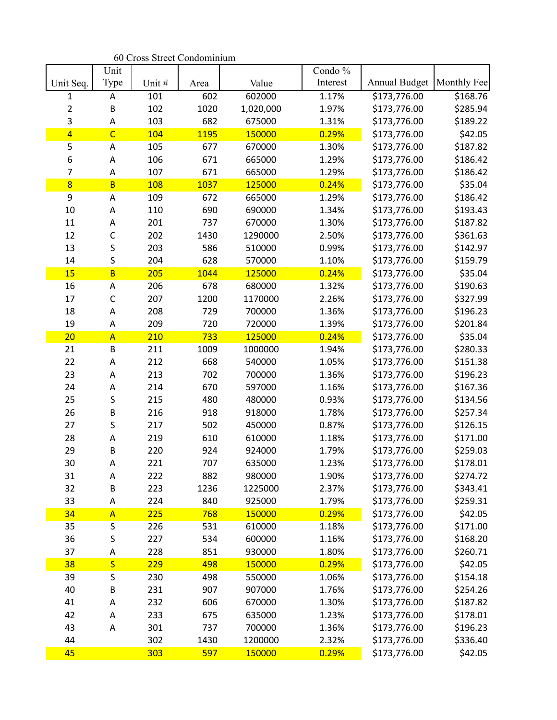|                | Unit                    |       |      |           | Condo $\%$ |                      |             |
|----------------|-------------------------|-------|------|-----------|------------|----------------------|-------------|
| Unit Seq.      | Type                    | Unit# | Area | Value     | Interest   | <b>Annual Budget</b> | Monthly Fee |
| 1              | A                       | 101   | 602  | 602000    | 1.17%      | \$173,776.00         | \$168.76    |
| $\overline{2}$ | B                       | 102   | 1020 | 1,020,000 | 1.97%      | \$173,776.00         | \$285.94    |
| 3              | A<br>$\overline{C}$     | 103   | 682  | 675000    | 1.31%      | \$173,776.00         | \$189.22    |
| $\overline{4}$ |                         | 104   | 1195 | 150000    | 0.29%      | \$173,776.00         | \$42.05     |
| 5              | A                       | 105   | 677  | 670000    | 1.30%      | \$173,776.00         | \$187.82    |
| 6              | A                       | 106   | 671  | 665000    | 1.29%      | \$173,776.00         | \$186.42    |
| $\overline{7}$ | A                       | 107   | 671  | 665000    | 1.29%      | \$173,776.00         | \$186.42    |
| $\overline{8}$ | $\overline{B}$          | 108   | 1037 | 125000    | 0.24%      | \$173,776.00         | \$35.04     |
| 9              | A                       | 109   | 672  | 665000    | 1.29%      | \$173,776.00         | \$186.42    |
| 10             | A                       | 110   | 690  | 690000    | 1.34%      | \$173,776.00         | \$193.43    |
| 11             | A                       | 201   | 737  | 670000    | 1.30%      | \$173,776.00         | \$187.82    |
| 12             | $\mathsf{C}$            | 202   | 1430 | 1290000   | 2.50%      | \$173,776.00         | \$361.63    |
| 13             | S                       | 203   | 586  | 510000    | 0.99%      | \$173,776.00         | \$142.97    |
| 14             | S                       | 204   | 628  | 570000    | 1.10%      | \$173,776.00         | \$159.79    |
| 15             | B                       | 205   | 1044 | 125000    | 0.24%      | \$173,776.00         | \$35.04     |
| 16             | Α                       | 206   | 678  | 680000    | 1.32%      | \$173,776.00         | \$190.63    |
| 17             | $\mathsf{C}$            | 207   | 1200 | 1170000   | 2.26%      | \$173,776.00         | \$327.99    |
| 18             | A                       | 208   | 729  | 700000    | 1.36%      | \$173,776.00         | \$196.23    |
| 19             | A                       | 209   | 720  | 720000    | 1.39%      | \$173,776.00         | \$201.84    |
| 20             | $\overline{A}$          | 210   | 733  | 125000    | 0.24%      | \$173,776.00         | \$35.04     |
| 21             | $\sf B$                 | 211   | 1009 | 1000000   | 1.94%      | \$173,776.00         | \$280.33    |
| 22             | A                       | 212   | 668  | 540000    | 1.05%      | \$173,776.00         | \$151.38    |
| 23             | A                       | 213   | 702  | 700000    | 1.36%      | \$173,776.00         | \$196.23    |
| 24             | A                       | 214   | 670  | 597000    | 1.16%      | \$173,776.00         | \$167.36    |
| 25             | S                       | 215   | 480  | 480000    | 0.93%      | \$173,776.00         | \$134.56    |
| 26             | $\sf B$                 | 216   | 918  | 918000    | 1.78%      | \$173,776.00         | \$257.34    |
| 27             | S                       | 217   | 502  | 450000    | 0.87%      | \$173,776.00         | \$126.15    |
| 28             | A                       | 219   | 610  | 610000    | 1.18%      | \$173,776.00         | \$171.00    |
| 29             | B                       | 220   | 924  | 924000    | 1.79%      | \$173,776.00         | \$259.03    |
| 30             | A                       | 221   | 707  | 635000    | 1.23%      | \$173,776.00         | \$178.01    |
| 31             | Α                       | 222   | 882  | 980000    | 1.90%      | \$173,776.00         | \$274.72    |
| 32             | B                       | 223   | 1236 | 1225000   | 2.37%      | \$173,776.00         | \$343.41    |
| 33             | A                       | 224   | 840  | 925000    | 1.79%      | \$173,776.00         | \$259.31    |
| 34             | $\overline{A}$          | 225   | 768  | 150000    | 0.29%      | \$173,776.00         | \$42.05     |
| 35             | S                       | 226   | 531  | 610000    | 1.18%      | \$173,776.00         | \$171.00    |
| 36             | S                       | 227   | 534  | 600000    | 1.16%      | \$173,776.00         | \$168.20    |
| 37             | A                       | 228   | 851  | 930000    | 1.80%      | \$173,776.00         | \$260.71    |
| 38             | $\overline{\mathsf{S}}$ | 229   | 498  | 150000    | 0.29%      | \$173,776.00         | \$42.05     |
| 39             | S                       | 230   | 498  | 550000    | 1.06%      | \$173,776.00         | \$154.18    |
| 40             | $\sf B$                 | 231   | 907  | 907000    | 1.76%      | \$173,776.00         | \$254.26    |
| 41             | Α                       | 232   | 606  | 670000    | 1.30%      | \$173,776.00         | \$187.82    |
| 42             | A                       | 233   | 675  | 635000    | 1.23%      | \$173,776.00         | \$178.01    |
| 43             | A                       | 301   | 737  | 700000    | 1.36%      | \$173,776.00         | \$196.23    |
| 44             |                         | 302   | 1430 | 1200000   | 2.32%      | \$173,776.00         | \$336.40    |
| 45             |                         | 303   | 597  | 150000    | 0.29%      | \$173,776.00         | \$42.05     |

60 Cross Street Condominium